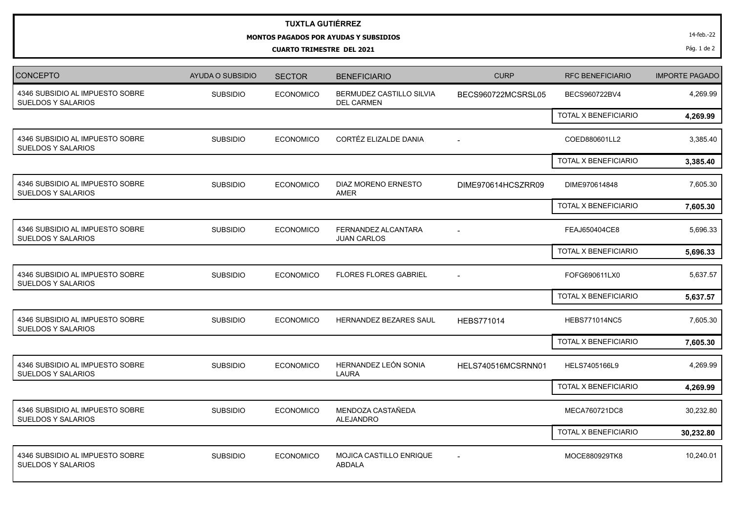## **TUXTLA GUTIÉRREZ**

**MONTOS PAGADOS POR AYUDAS Y SUBSIDIOS**

**CUARTO TRIMESTRE DEL 2021**

| CONCEPTO                                                     | <b>AYUDA O SUBSIDIO</b> | <b>SECTOR</b>    | <b>BENEFICIARIO</b>                           | <b>CURP</b>              | <b>RFC BENEFICIARIO</b>     | <b>IMPORTE PAGADO</b> |
|--------------------------------------------------------------|-------------------------|------------------|-----------------------------------------------|--------------------------|-----------------------------|-----------------------|
| 4346 SUBSIDIO AL IMPUESTO SOBRE<br><b>SUELDOS Y SALARIOS</b> | <b>SUBSIDIO</b>         | <b>ECONOMICO</b> | BERMUDEZ CASTILLO SILVIA<br><b>DEL CARMEN</b> | BECS960722MCSRSL05       | BECS960722BV4               | 4,269.99              |
|                                                              |                         |                  |                                               |                          | TOTAL X BENEFICIARIO        | 4,269.99              |
| 4346 SUBSIDIO AL IMPUESTO SOBRE<br><b>SUELDOS Y SALARIOS</b> | <b>SUBSIDIO</b>         | <b>ECONOMICO</b> | CORTÉZ ELIZALDE DANIA                         |                          | COED880601LL2               | 3,385.40              |
|                                                              |                         |                  |                                               |                          | <b>TOTAL X BENEFICIARIO</b> | 3,385.40              |
| 4346 SUBSIDIO AL IMPUESTO SOBRE<br><b>SUELDOS Y SALARIOS</b> | <b>SUBSIDIO</b>         | <b>ECONOMICO</b> | DIAZ MORENO ERNESTO<br><b>AMER</b>            | DIME970614HCSZRR09       | DIME970614848               | 7,605.30              |
|                                                              |                         |                  |                                               |                          | <b>TOTAL X BENEFICIARIO</b> | 7,605.30              |
| 4346 SUBSIDIO AL IMPUESTO SOBRE<br><b>SUELDOS Y SALARIOS</b> | <b>SUBSIDIO</b>         | <b>ECONOMICO</b> | FERNANDEZ ALCANTARA<br><b>JUAN CARLOS</b>     |                          | FEAJ650404CE8               | 5,696.33              |
|                                                              |                         |                  |                                               |                          | <b>TOTAL X BENEFICIARIO</b> | 5,696.33              |
| 4346 SUBSIDIO AL IMPUESTO SOBRE<br><b>SUELDOS Y SALARIOS</b> | <b>SUBSIDIO</b>         | <b>ECONOMICO</b> | <b>FLORES FLORES GABRIEL</b>                  | $\overline{\phantom{a}}$ | FOFG690611LX0               | 5,637.57              |
|                                                              |                         |                  |                                               |                          | <b>TOTAL X BENEFICIARIO</b> | 5,637.57              |
| 4346 SUBSIDIO AL IMPUESTO SOBRE<br><b>SUELDOS Y SALARIOS</b> | <b>SUBSIDIO</b>         | <b>ECONOMICO</b> | HERNANDEZ BEZARES SAUL                        | <b>HEBS771014</b>        | <b>HEBS771014NC5</b>        | 7,605.30              |
|                                                              |                         |                  |                                               |                          | TOTAL X BENEFICIARIO        | 7,605.30              |
| 4346 SUBSIDIO AL IMPUESTO SOBRE<br><b>SUELDOS Y SALARIOS</b> | <b>SUBSIDIO</b>         | <b>ECONOMICO</b> | HERNANDEZ LEÓN SONIA<br>LAURA                 | HELS740516MCSRNN01       | HELS7405166L9               | 4,269.99              |
|                                                              |                         |                  |                                               |                          | <b>TOTAL X BENEFICIARIO</b> | 4,269.99              |
| 4346 SUBSIDIO AL IMPUESTO SOBRE<br><b>SUELDOS Y SALARIOS</b> | <b>SUBSIDIO</b>         | <b>ECONOMICO</b> | MENDOZA CASTAÑEDA<br><b>ALEJANDRO</b>         |                          | MECA760721DC8               | 30,232.80             |
|                                                              |                         |                  |                                               |                          | <b>TOTAL X BENEFICIARIO</b> | 30,232.80             |
| 4346 SUBSIDIO AL IMPUESTO SOBRE<br><b>SUELDOS Y SALARIOS</b> | <b>SUBSIDIO</b>         | <b>ECONOMICO</b> | MOJICA CASTILLO ENRIQUE<br><b>ABDALA</b>      |                          | MOCE880929TK8               | 10,240.01             |

Pág. 1 de 2